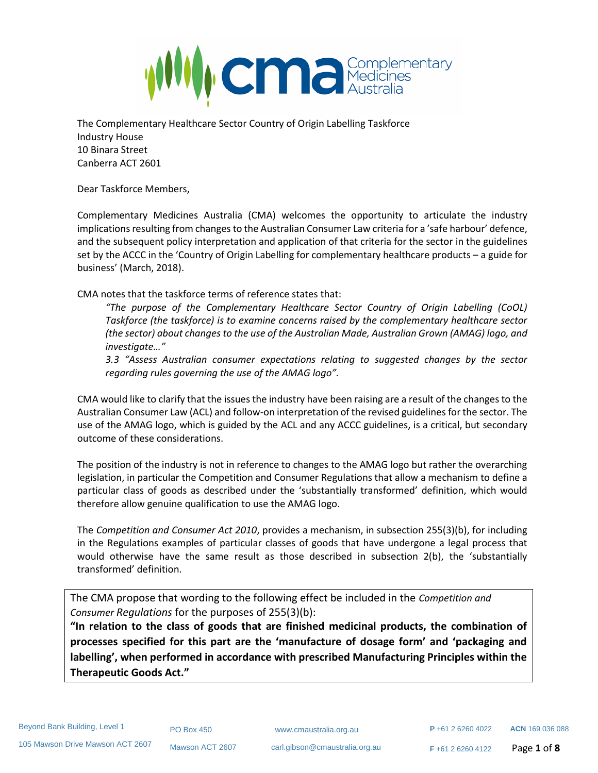

The Complementary Healthcare Sector Country of Origin Labelling Taskforce Industry House 10 Binara Street Canberra ACT 2601

Dear Taskforce Members,

Complementary Medicines Australia (CMA) welcomes the opportunity to articulate the industry implications resulting from changes to the Australian Consumer Law criteria for a 'safe harbour' defence, and the subsequent policy interpretation and application of that criteria for the sector in the guidelines set by the ACCC in the 'Country of Origin Labelling for complementary healthcare products – a guide for business' (March, 2018).

CMA notes that the taskforce terms of reference states that:

*"The purpose of the Complementary Healthcare Sector Country of Origin Labelling (CoOL) Taskforce (the taskforce) is to examine concerns raised by the complementary healthcare sector (the sector) about changes to the use of the Australian Made, Australian Grown (AMAG) logo, and investigate…"*

*3.3 "Assess Australian consumer expectations relating to suggested changes by the sector regarding rules governing the use of the AMAG logo".*

CMA would like to clarify that the issues the industry have been raising are a result of the changes to the Australian Consumer Law (ACL) and follow-on interpretation of the revised guidelines for the sector. The use of the AMAG logo, which is guided by the ACL and any ACCC guidelines, is a critical, but secondary outcome of these considerations.

The position of the industry is not in reference to changes to the AMAG logo but rather the overarching legislation, in particular the Competition and Consumer Regulations that allow a mechanism to define a particular class of goods as described under the 'substantially transformed' definition, which would therefore allow genuine qualification to use the AMAG logo.

The *Competition and Consumer Act 2010*, provides a mechanism, in subsection 255(3)(b), for including in the Regulations examples of particular classes of goods that have undergone a legal process that would otherwise have the same result as those described in subsection 2(b), the 'substantially transformed' definition.

The CMA propose that wording to the following effect be included in the *Competition and Consumer Regulations* for the purposes of 255(3)(b):

**"In relation to the class of goods that are finished medicinal products, the combination of processes specified for this part are the 'manufacture of dosage form' and 'packaging and labelling', when performed in accordance with prescribed Manufacturing Principles within the Therapeutic Goods Act."**

PO Box 450 www.cmaustralia.org.au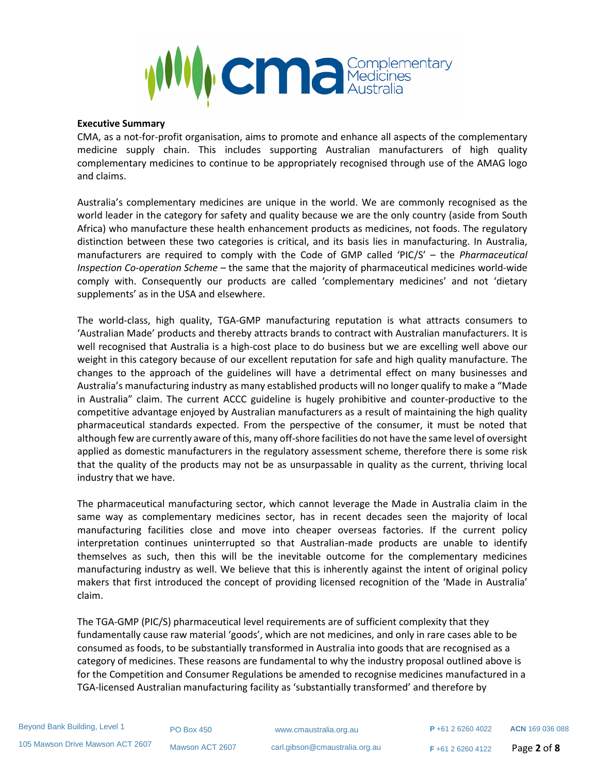

## **Executive Summary**

CMA, as a not-for-profit organisation, aims to promote and enhance all aspects of the complementary medicine supply chain. This includes supporting Australian manufacturers of high quality complementary medicines to continue to be appropriately recognised through use of the AMAG logo and claims.

Australia's complementary medicines are unique in the world. We are commonly recognised as the world leader in the category for safety and quality because we are the only country (aside from South Africa) who manufacture these health enhancement products as medicines, not foods. The regulatory distinction between these two categories is critical, and its basis lies in manufacturing. In Australia, manufacturers are required to comply with the Code of GMP called 'PIC/S' – the *Pharmaceutical Inspection Co-operation Scheme* – the same that the majority of pharmaceutical medicines world-wide comply with. Consequently our products are called 'complementary medicines' and not 'dietary supplements' as in the USA and elsewhere.

The world-class, high quality, TGA-GMP manufacturing reputation is what attracts consumers to 'Australian Made' products and thereby attracts brands to contract with Australian manufacturers. It is well recognised that Australia is a high-cost place to do business but we are excelling well above our weight in this category because of our excellent reputation for safe and high quality manufacture. The changes to the approach of the guidelines will have a detrimental effect on many businesses and Australia's manufacturing industry as many established products will no longer qualify to make a "Made in Australia" claim. The current ACCC guideline is hugely prohibitive and counter-productive to the competitive advantage enjoyed by Australian manufacturers as a result of maintaining the high quality pharmaceutical standards expected. From the perspective of the consumer, it must be noted that although few are currently aware of this, many off-shore facilities do not have the same level of oversight applied as domestic manufacturers in the regulatory assessment scheme, therefore there is some risk that the quality of the products may not be as unsurpassable in quality as the current, thriving local industry that we have.

The pharmaceutical manufacturing sector, which cannot leverage the Made in Australia claim in the same way as complementary medicines sector, has in recent decades seen the majority of local manufacturing facilities close and move into cheaper overseas factories. If the current policy interpretation continues uninterrupted so that Australian-made products are unable to identify themselves as such, then this will be the inevitable outcome for the complementary medicines manufacturing industry as well. We believe that this is inherently against the intent of original policy makers that first introduced the concept of providing licensed recognition of the 'Made in Australia' claim.

The TGA-GMP (PIC/S) pharmaceutical level requirements are of sufficient complexity that they fundamentally cause raw material 'goods', which are not medicines, and only in rare cases able to be consumed as foods, to be substantially transformed in Australia into goods that are recognised as a category of medicines. These reasons are fundamental to why the industry proposal outlined above is for the Competition and Consumer Regulations be amended to recognise medicines manufactured in a TGA-licensed Australian manufacturing facility as 'substantially transformed' and therefore by

PO Box 450 www.cmaustralia.org.au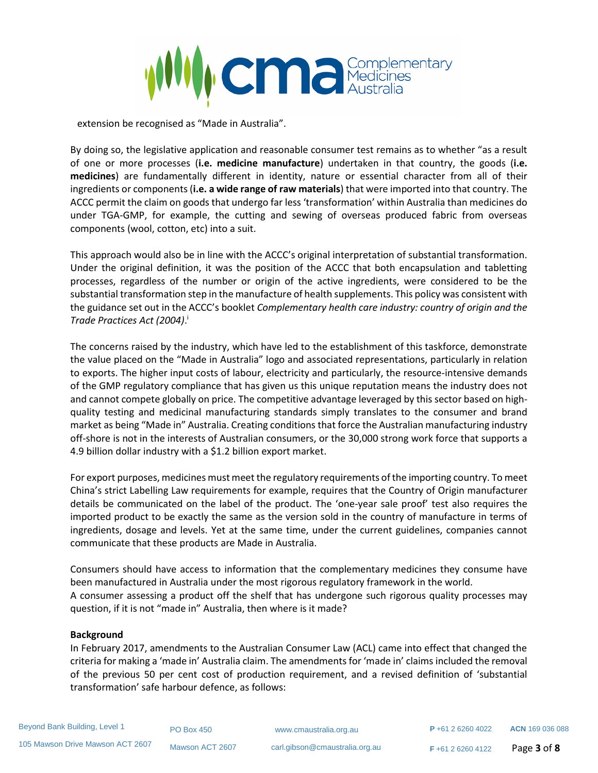

extension be recognised as "Made in Australia".

By doing so, the legislative application and reasonable consumer test remains as to whether "as a result of one or more processes (**i.e. medicine manufacture**) undertaken in that country, the goods (**i.e. medicines**) are fundamentally different in identity, nature or essential character from all of their ingredients or components (**i.e. a wide range of raw materials**) that were imported into that country. The ACCC permit the claim on goods that undergo far less 'transformation' within Australia than medicines do under TGA-GMP, for example, the cutting and sewing of overseas produced fabric from overseas components (wool, cotton, etc) into a suit.

This approach would also be in line with the ACCC's original interpretation of substantial transformation. Under the original definition, it was the position of the ACCC that both encapsulation and tabletting processes, regardless of the number or origin of the active ingredients, were considered to be the substantial transformation step in the manufacture of health supplements. This policy was consistent with the guidance set out in the ACCC's booklet *Complementary health care industry: country of origin and the Trade Practices Act (2004)*. i

The concerns raised by the industry, which have led to the establishment of this taskforce, demonstrate the value placed on the "Made in Australia" logo and associated representations, particularly in relation to exports. The higher input costs of labour, electricity and particularly, the resource-intensive demands of the GMP regulatory compliance that has given us this unique reputation means the industry does not and cannot compete globally on price. The competitive advantage leveraged by this sector based on highquality testing and medicinal manufacturing standards simply translates to the consumer and brand market as being "Made in" Australia. Creating conditions that force the Australian manufacturing industry off-shore is not in the interests of Australian consumers, or the 30,000 strong work force that supports a 4.9 billion dollar industry with a \$1.2 billion export market.

For export purposes, medicines must meet the regulatory requirements of the importing country. To meet China's strict Labelling Law requirements for example, requires that the Country of Origin manufacturer details be communicated on the label of the product. The 'one-year sale proof' test also requires the imported product to be exactly the same as the version sold in the country of manufacture in terms of ingredients, dosage and levels. Yet at the same time, under the current guidelines, companies cannot communicate that these products are Made in Australia.

Consumers should have access to information that the complementary medicines they consume have been manufactured in Australia under the most rigorous regulatory framework in the world. A consumer assessing a product off the shelf that has undergone such rigorous quality processes may question, if it is not "made in" Australia, then where is it made?

## **Background**

In February 2017, amendments to the Australian Consumer Law (ACL) came into effect that changed the criteria for making a 'made in' Australia claim. The amendments for 'made in' claims included the removal of the previous 50 per cent cost of production requirement, and a revised definition of 'substantial transformation' safe harbour defence, as follows:

PO Box 450 www.cmaustralia.org.au

**<sup>F</sup>** +61 2 6260 4122 Page **3** of **8**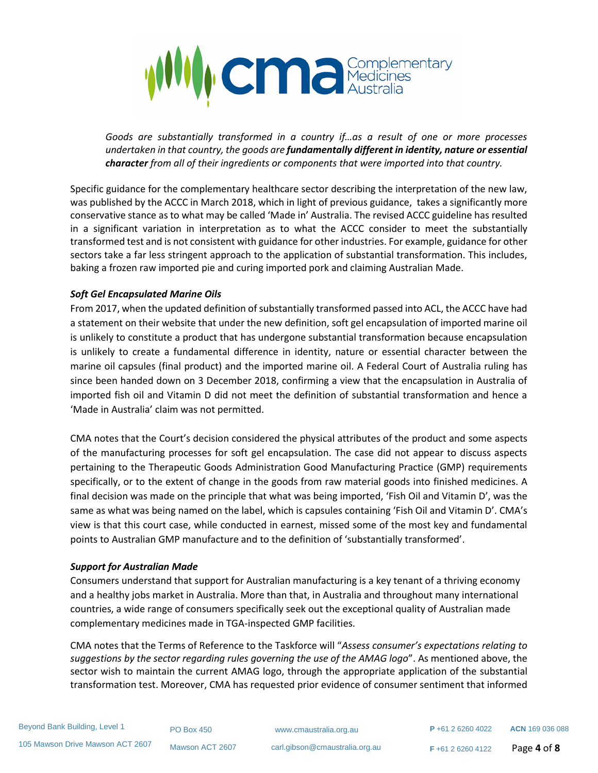

*Goods are substantially transformed in a country if…as a result of one or more processes undertaken in that country, the goods are fundamentally different in identity, nature or essential character from all of their ingredients or components that were imported into that country.*

Specific guidance for the complementary healthcare sector describing the interpretation of the new law, was published by the ACCC in March 2018, which in light of previous guidance, takes a significantly more conservative stance as to what may be called 'Made in' Australia. The revised ACCC guideline has resulted in a significant variation in interpretation as to what the ACCC consider to meet the substantially transformed test and is not consistent with guidance for other industries. For example, guidance for other sectors take a far less stringent approach to the application of substantial transformation. This includes, baking a frozen raw imported pie and curing imported pork and claiming Australian Made.

# *Soft Gel Encapsulated Marine Oils*

From 2017, when the updated definition of substantially transformed passed into ACL, the ACCC have had a statement on their website that under the new definition, soft gel encapsulation of imported marine oil is unlikely to constitute a product that has undergone substantial transformation because encapsulation is unlikely to create a fundamental difference in identity, nature or essential character between the marine oil capsules (final product) and the imported marine oil. A Federal Court of Australia ruling has since been handed down on 3 December 2018, confirming a view that the encapsulation in Australia of imported fish oil and Vitamin D did not meet the definition of substantial transformation and hence a 'Made in Australia' claim was not permitted.

CMA notes that the Court's decision considered the physical attributes of the product and some aspects of the manufacturing processes for soft gel encapsulation. The case did not appear to discuss aspects pertaining to the Therapeutic Goods Administration Good Manufacturing Practice (GMP) requirements specifically, or to the extent of change in the goods from raw material goods into finished medicines. A final decision was made on the principle that what was being imported, 'Fish Oil and Vitamin D', was the same as what was being named on the label, which is capsules containing 'Fish Oil and Vitamin D'. CMA's view is that this court case, while conducted in earnest, missed some of the most key and fundamental points to Australian GMP manufacture and to the definition of 'substantially transformed'.

# *Support for Australian Made*

Consumers understand that support for Australian manufacturing is a key tenant of a thriving economy and a healthy jobs market in Australia. More than that, in Australia and throughout many international countries, a wide range of consumers specifically seek out the exceptional quality of Australian made complementary medicines made in TGA-inspected GMP facilities.

CMA notes that the Terms of Reference to the Taskforce will "*Assess consumer's expectations relating to suggestions by the sector regarding rules governing the use of the AMAG logo*". As mentioned above, the sector wish to maintain the current AMAG logo, through the appropriate application of the substantial transformation test. Moreover, CMA has requested prior evidence of consumer sentiment that informed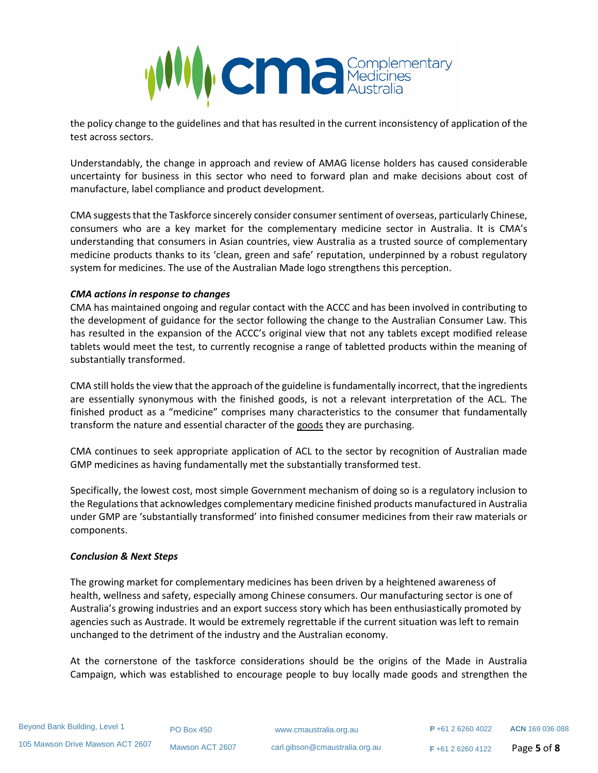

the policy change to the guidelines and that has resulted in the current inconsistency of application of the test across sectors.

Understandably, the change in approach and review of AMAG license holders has caused considerable uncertainty for business in this sector who need to forward plan and make decisions about cost of manufacture, label compliance and product development.

CMA suggests that the Taskforce sincerely consider consumer sentiment of overseas, particularly Chinese, consumers who are a key market for the complementary medicine sector in Australia. It is CMA's understanding that consumers in Asian countries, view Australia as a trusted source of complementary medicine products thanks to its 'clean, green and safe' reputation, underpinned by a robust regulatory system for medicines. The use of the Australian Made logo strengthens this perception.

## *CMA actions in response to changes*

CMA has maintained ongoing and regular contact with the ACCC and has been involved in contributing to the development of guidance for the sector following the change to the Australian Consumer Law. This has resulted in the expansion of the ACCC's original view that not any tablets except modified release tablets would meet the test, to currently recognise a range of tabletted products within the meaning of substantially transformed.

CMA still holds the view that the approach of the guideline is fundamentally incorrect, that the ingredients are essentially synonymous with the finished goods, is not a relevant interpretation of the ACL. The finished product as a "medicine" comprises many characteristics to the consumer that fundamentally transform the nature and essential character of the goods they are purchasing.

CMA continues to seek appropriate application of ACL to the sector by recognition of Australian made GMP medicines as having fundamentally met the substantially transformed test.

Specifically, the lowest cost, most simple Government mechanism of doing so is a regulatory inclusion to the Regulations that acknowledges complementary medicine finished products manufactured in Australia under GMP are 'substantially transformed' into finished consumer medicines from their raw materials or components.

## *Conclusion & Next Steps*

The growing market for complementary medicines has been driven by a heightened awareness of health, wellness and safety, especially among Chinese consumers. Our manufacturing sector is one of Australia's growing industries and an export success story which has been enthusiastically promoted by agencies such as Austrade. It would be extremely regrettable if the current situation was left to remain unchanged to the detriment of the industry and the Australian economy.

At the cornerstone of the taskforce considerations should be the origins of the Made in Australia Campaign, which was established to encourage people to buy locally made goods and strengthen the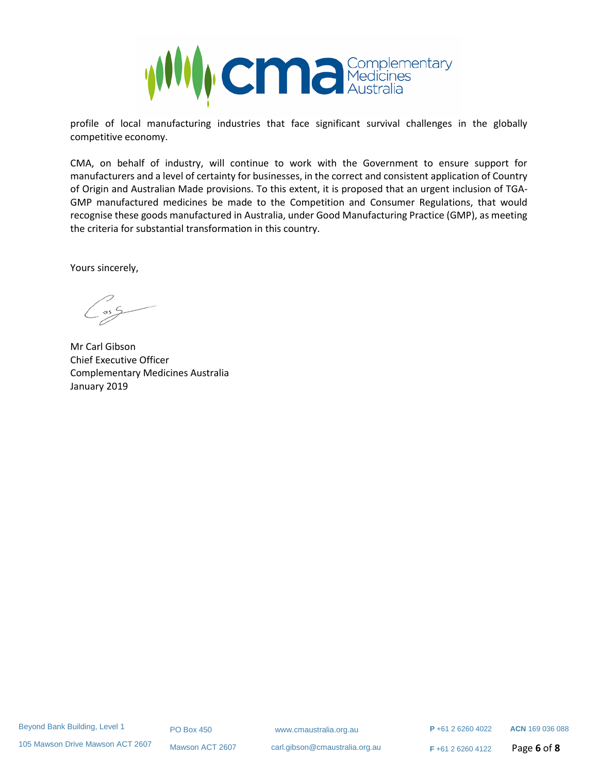

profile of local manufacturing industries that face significant survival challenges in the globally competitive economy.

CMA, on behalf of industry, will continue to work with the Government to ensure support for manufacturers and a level of certainty for businesses, in the correct and consistent application of Country of Origin and Australian Made provisions. To this extent, it is proposed that an urgent inclusion of TGA-GMP manufactured medicines be made to the Competition and Consumer Regulations, that would recognise these goods manufactured in Australia, under Good Manufacturing Practice (GMP), as meeting the criteria for substantial transformation in this country.

Yours sincerely,

Mr Carl Gibson Chief Executive Officer Complementary Medicines Australia January 2019

Mawson ACT 2607 carl.gibson@cmaustralia.org.au

**<sup>F</sup>** +61 2 6260 4122 Page **6** of **8**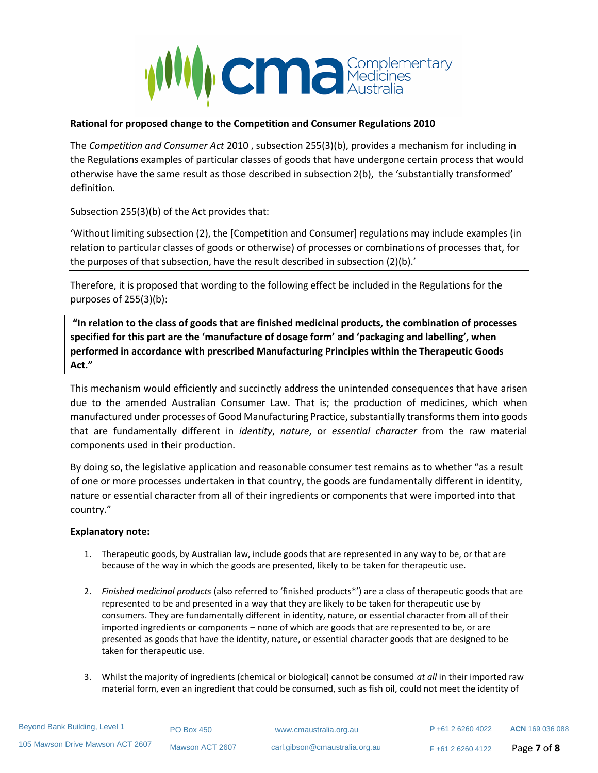

## **Rational for proposed change to the Competition and Consumer Regulations 2010**

The *Competition and Consumer Act* 2010 , subsection 255(3)(b), provides a mechanism for including in the Regulations examples of particular classes of goods that have undergone certain process that would otherwise have the same result as those described in subsection 2(b), the 'substantially transformed' definition.

Subsection 255(3)(b) of the Act provides that:

'Without limiting subsection (2), the [Competition and Consumer] regulations may include examples (in relation to particular classes of goods or otherwise) of processes or combinations of processes that, for the purposes of that subsection, have the result described in subsection (2)(b).'

Therefore, it is proposed that wording to the following effect be included in the Regulations for the purposes of 255(3)(b):

**"In relation to the class of goods that are finished medicinal products, the combination of processes specified for this part are the 'manufacture of dosage form' and 'packaging and labelling', when performed in accordance with prescribed Manufacturing Principles within the Therapeutic Goods Act."**

This mechanism would efficiently and succinctly address the unintended consequences that have arisen due to the amended Australian Consumer Law. That is; the production of medicines, which when manufactured under processes of Good Manufacturing Practice, substantially transforms them into goods that are fundamentally different in *identity*, *nature*, or *essential character* from the raw material components used in their production.

By doing so, the legislative application and reasonable consumer test remains as to whether "as a result of one or more processes undertaken in that country, the goods are fundamentally different in identity, nature or essential character from all of their ingredients or components that were imported into that country."

## **Explanatory note:**

- 1. Therapeutic goods, by Australian law, include goods that are represented in any way to be, or that are because of the way in which the goods are presented, likely to be taken for therapeutic use.
- 2. *Finished medicinal products* (also referred to 'finished products\*') are a class of therapeutic goods that are represented to be and presented in a way that they are likely to be taken for therapeutic use by consumers. They are fundamentally different in identity, nature, or essential character from all of their imported ingredients or components – none of which are goods that are represented to be, or are presented as goods that have the identity, nature, or essential character goods that are designed to be taken for therapeutic use.
- 3. Whilst the majority of ingredients (chemical or biological) cannot be consumed *at all* in their imported raw material form, even an ingredient that could be consumed, such as fish oil, could not meet the identity of